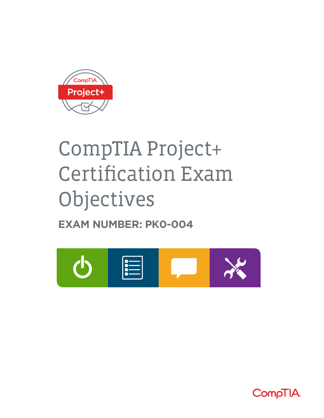

# CompTIA Project+ Certification Exam Objectives

**EXAM NUMBER: PK0-004**



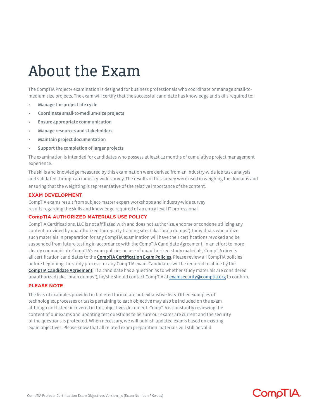## About the Exam

The CompTIA Project+ examination is designed for business professionals who coordinate or manage small-tomedium-size projects. The exam will certify that the successful candidate has knowledge and skills required to:

- Manage the project life cycle
- Coordinate small-to-medium-size projects
- Ensure appropriate communication
- Manage resources and stakeholders
- Maintain project documentation
- Support the completion of larger projects

The examination is intended for candidates who possess at least 12 months of cumulative project management experience.

The skills and knowledge measured by this examination were derived from an industry-wide job task analysis and validated through an industry-wide survey. The results of this survey were used in weighing the domains and ensuring that the weighting is representative of the relative importance of the content.

### **EXAM DEVELOPMENT**

CompTIA exams result from subject-matter expert workshops and industry-wide survey results regarding the skills and knowledge required of an entry-level IT professional.

### **CompTIA AUTHORIZED MATERIALS USE POLICY**

CompTIA Certifications, LLC is not affiliated with and does not authorize, endorse or condone utilizing any content provided by unauthorized third-party training sites (aka "brain dumps"). Individuals who utilize such materials in preparation for any CompTIA examination will have their certifications revoked and be suspended from future testing in accordance with the CompTIA Candidate Agreement. In an effort to more clearly communicate CompTIA's exam policies on use of unauthorized study materials, CompTIA directs all certification candidates to the [CompTIA Certification Exam Policies](http://certification.comptia.org/testing/test-policies). Please review all CompTIA policies before beginning the study process for any CompTIA exam. Candidates will be required to abide by the [CompTIA Candidate Agreement](http://certification.comptia.org/testing/test-policies/comptia-candidate-agreement). If a candidate has a question as to whether study materials are considered unauthorized (aka "brain dumps"), he/she should contact CompTIA at [examsecurity@comptia.org](mailto:examsecurity%40comptia.org?subject=) to confirm.

### **PLEASE NOTE**

The lists of examples provided in bulleted format are not exhaustive lists. Other examples of technologies, processes or tasks pertaining to each objective may also be included on the exam although not listed or covered in this objectives document. CompTIA is constantly reviewing the content of our exams and updating test questions to be sure our exams are current and the security of the questions is protected. When necessary, we will publish updated exams based on existing exam objectives. Please know that all related exam preparation materials will still be valid.

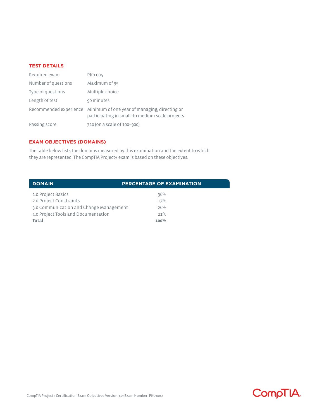### **TEST DETAILS**

| Required exam       | PK0-004                                                                                                                 |
|---------------------|-------------------------------------------------------------------------------------------------------------------------|
| Number of questions | Maximum of 95                                                                                                           |
| Type of questions   | Multiple choice                                                                                                         |
| Length of test      | 90 minutes                                                                                                              |
|                     | Recommended experience Minimum of one year of managing, directing or<br>participating in small-to medium-scale projects |
| Passing score       | 710 (on a scale of 100-900)                                                                                             |

### **EXAM OBJECTIVES (DOMAINS)**

The table below lists the domains measured by this examination and the extent to which they are represented. The CompTIA Project+ exam is based on these objectives.

| <b>DOMAIN</b>                           | <b>PERCENTAGE OF EXAMINATION</b> |
|-----------------------------------------|----------------------------------|
| 1.0 Project Basics                      | 36%                              |
| 2.0 Project Constraints                 | 17%                              |
| 3.0 Communication and Change Management | 26%                              |
| 4.0 Project Tools and Documentation     | 21%                              |
| Total                                   | $100\%$                          |

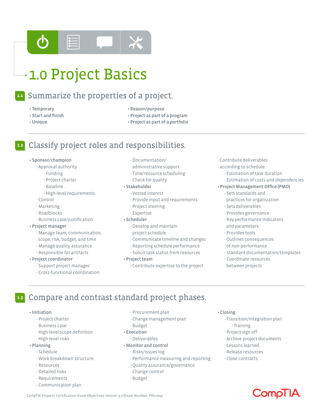

#### Summarize the properties of a project. **1.1**

- Temporary
- Start and finish
- Unique
- Reason/purpose
- Project as part of a program
- Project as part of a portfolio

#### Classify project roles and responsibilities. **1.2**

### • Sponsor/champion

- Approval authority
	- Funding
	- Project charter
	- Baseline
	- High-level requirements
- Control
- Marketing
- Roadblocks
- Business case/justification

### • Project manager

- Manage team, communication, scope, risk, budget, and time
- Manage quality assurance
- Responsible for artifacts

### • Project coordinator

- Support project manager
- Cross-functional coordination
- Documentation/
- administrative support
- Time/resource scheduling
- Check for quality
- Stakeholder
	- Vested interest
	- Provide input and requirements
	- Project steering
	- Expertise
- Scheduler
	- Develop and maintain
	- project schedule
	- Communicate timeline and changes
	- Reporting schedule performance
	- Solicit task status from resources
- Project team
	- Contribute expertise to the project
- Contribute deliverables according to schedule
	- Estimation of task duration
	- Estimation of costs and dependencies

### • Project Management Office (PMO)

- Sets standards and
	- practices for organization
- Sets deliverables
- Provides governance
- Key performance indicators and parameters
- Provides tools
- Outlines consequences
- of non-performance
- Standard documentation/templates
- Coordinate resources between projects

#### Compare and contrast standard project phases. **1.3**

### • Initiation

- Project charter
- Business case
- High-level scope definition
- High-level risks

### • Planning

- Schedule
- Work breakdown structure
- Resources
- Detailed risks
- Requirements
- Communication plan
- Procurement plan
- Change management plan
- Budget
- Execution
- Deliverables
- Monitor and control
	- Risks/issues log
	- Performance measuring and reporting
	- Quality assurance/governance
	- Change control
	- Budget

### • Closing

- Transition/integration plan
	- Training
- Project sign off
- Archive project documents
- Lessons learned
- Release resources
- Close contracts



### CompTIA Project+ Certification Exam Objectives Version 3.0 (Exam Number: PK0-004)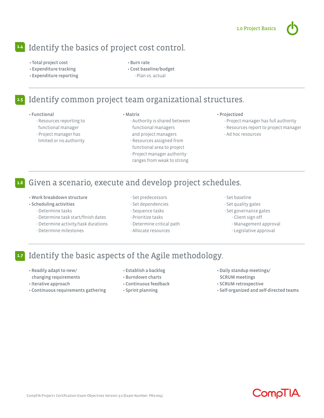### Identify the basics of project cost control. **1.4**

- Total project cost
- Expenditure tracking
- Expenditure reporting

• Burn rate • Cost baseline/budget - Plan vs. actual

#### Identify common project team organizational structures. **1.5**

### • Functional

- Resources reporting to functional manager
- Project manager has limited or no authority

### • Matrix

- Authority is shared between functional managers and project managers
- Resources assigned from functional area to project
- Project manager authority
- ranges from weak to strong

### • Projectized

- Project manager has full authority
- Resources report to project manager
- Ad hoc resources

### Given a scenario, execute and develop project schedules. **1.6**

- Work breakdown structure
- Scheduling activities
	- Determine tasks
	- Determine task start/finish dates
	- Determine activity/task durations
	- Determine milestones
- Set predecessors
- Set dependencies
- Sequence tasks
- Prioritize tasks
- Determine critical path
- Allocate resources
- Set baseline
- Set quality gates
- Set governance gates
- Client sign off
	- Management approval
	- Legislative approval

#### Identify the basic aspects of the Agile methodology. **1.7**

- Readily adapt to new/
- changing requirements
- Iterative approach
- Continuous requirements gathering
- Establish a backlog
- Burndown charts
- Continuous feedback
- Sprint planning
- Daily standup meetings/ SCRUM meetings
- SCRUM retrospective
- Self-organized and self-directed teams

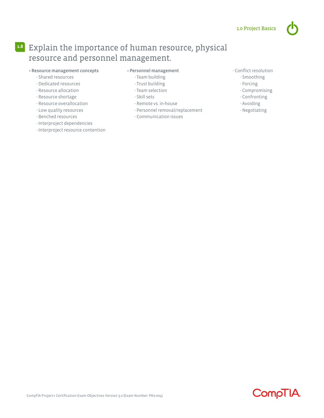### Explain the importance of human resource, physical **1.8** resource and personnel management.

### • Resource management concepts

- Shared resources
- Dedicated resources
- Resource allocation
- Resource shortage
- Resource overallocation
- Low quality resources
- Benched resources
- Interproject dependencies
- Interproject resource contention

### • Personnel management

- Team building
- Trust building
- Team selection
- Skill sets
- Remote vs. in-house
- Personnel removal/replacement
- Communication issues

### - Conflict resolution

- Smoothing
- Forcing
- Compromising
- Confronting
- Avoiding
- Negotiating

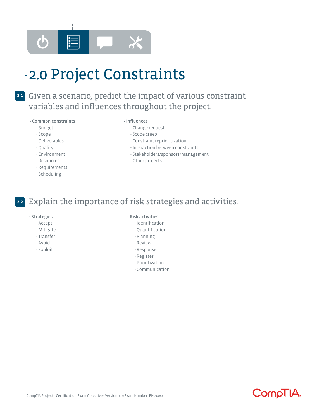

## **12.0 Project Constraints**

### Given a scenario, predict the impact of various constraint **2.1** variables and influences throughout the project.

### • Common constraints

- Budget - Scope - Deliverables - Quality - Environment - Resources - Requirements - Scheduling

### • Influences

- Change request
- Scope creep
- Constraint reprioritization
- Interaction between constraints
- Stakeholders/sponsors/management
- Other projects

#### Explain the importance of risk strategies and activities. **2.2**

### • Strategies

- Accept
- Mitigate
- Transfer
- Avoid
- Exploit

### • Risk activities

- Identification
- Quantification
- Planning
- Review
- Response
- Register
- Prioritization
- Communication

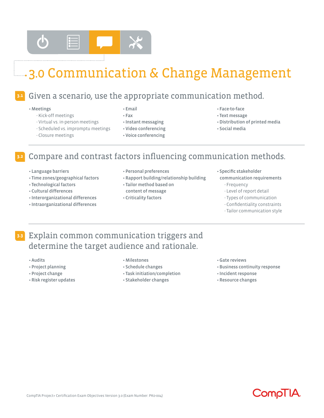

## 3.0 Communication & Change Management

### Given a scenario, use the appropriate communication method. **3.1**

### • Meetings

- Kick-off meetings
- Virtual vs. in-person meetings
- Scheduled vs. impromptu meetings
- Closure meetings
- Email
- Fax
- Instant messaging
- Video conferencing
- Voice conferencing
- Face-to-face
- Text message
- Distribution of printed media
- Social media
- Compare and contrast factors influencing communication methods. **3.2**
	- Language barriers
	- Time zones/geographical factors
	- Technological factors
	- Cultural differences
	- Interorganizational differences
	- Intraorganizational differences
- Personal preferences
- Rapport building/relationship building
- Tailor method based on content of message
- Criticality factors
- Specific stakeholder
	- communication requirements - Frequency
		- Level of report detail
		- Types of communication
		- Confidentiality constraints
		- Tailor communication style

### Explain common communication triggers and **3.3**determine the target audience and rationale.

- Audits
- Project planning
- Project change
- Risk register updates
- Milestones
- Schedule changes
- Task initiation/completion
- Stakeholder changes
- Gate reviews
- Business continuity response
- Incident response
- Resource changes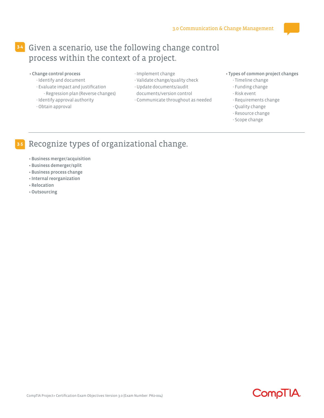### Given a scenario, use the following change control **3.4** process within the context of a project.

- Change control process
	- Identify and document
	- Evaluate impact and justification - Regression plan (Reverse changes)
	- Identify approval authority
	- Obtain approval
- Implement change
- Validate change/quality check
- Update documents/audit
- documents/version control
- Communicate throughout as needed

### • Types of common project changes

- Timeline change
- Funding change
- Risk event
- Requirements change
- Quality change
- Resource change
- Scope change

### Recognize types of organizational change. **3.5**

- Business merger/acquisition
- Business demerger/split
- Business process change
- Internal reorganization
- Relocation
- Outsourcing

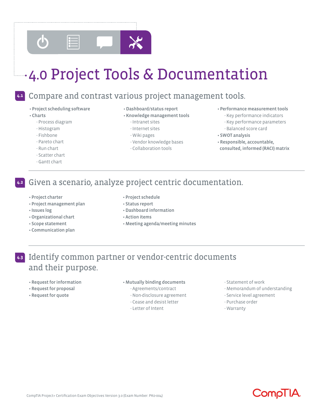

## 4.0 Project Tools & Documentation

### **4.1**

### Compare and contrast various project management tools.

- Project scheduling software
- Charts
	- Process diagram
	- Histogram
	- Fishbone
	- Pareto chart
	- Run chart
	- Scatter chart
	- Gantt chart

### • Dashboard/status report

- Knowledge management tools
	- Intranet sites
	- Internet sites
	- Wiki pages
	- Vendor knowledge bases
	- Collaboration tools
- Performance measurement tools
	- Key performance indicators
	- Key performance parameters
	- Balanced score card
- SWOT analysis
- Responsible, accountable, consulted, informed (RACI) matrix

### Given a scenario, analyze project centric documentation. **4.2**

- Project charter
- Project management plan
- Issues log
- Organizational chart
- 
- Communication plan
- Project schedule
- Status report
- Dashboard information
- Action items
- Meeting agenda/meeting minutes

### Identify common partner or vendor-centric documents **4.3**and their purpose.

- Request for information
- Request for proposal
- Request for quote

### • Mutually binding documents

- Agreements/contract
- Non-disclosure agreement
- Cease and desist letter
- Letter of Intent
- Statement of work
- Memorandum of understanding
- Service level agreement
- Purchase order
- Warranty



- 
- 
- 
- Scope statement
-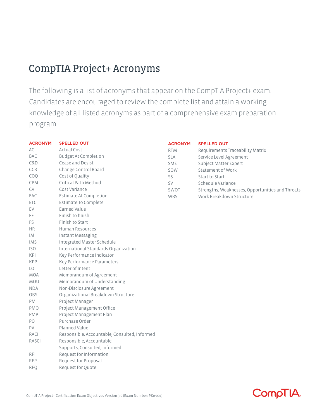### CompTIA Project+ Acronyms

The following is a list of acronyms that appear on the CompTIA Project+ exam. Candidates are encouraged to review the complete list and attain a working knowledge of all listed acronyms as part of a comprehensive exam preparation program.

| <b>ACRONYM</b> | <b>SPELLED OUT</b>                            | <b>ACRONYM</b> | <b>SPELLED OUT</b>                               |
|----------------|-----------------------------------------------|----------------|--------------------------------------------------|
| AC             | <b>Actual Cost</b>                            | <b>RTM</b>     | Requirements Traceability Matrix                 |
| <b>BAC</b>     | <b>Budget At Completion</b>                   | <b>SLA</b>     | Service Level Agreement                          |
| C&D            | Cease and Desist                              | <b>SME</b>     | Subject Matter Expert                            |
| CCB            | Change Control Board                          | SOW            | <b>Statement of Work</b>                         |
| COQ            | Cost of Quality                               | SS.            | Start to Start                                   |
| <b>CPM</b>     | Critical Path Method                          | SV             | Schedule Variance                                |
| <b>CV</b>      | Cost Variance                                 | SWOT           | Strengths, Weaknesses, Opportunities and Threats |
| EAC            | <b>Estimate At Completion</b>                 | <b>WBS</b>     | Work Breakdown Structure                         |
| <b>ETC</b>     | <b>Estimate To Complete</b>                   |                |                                                  |
| EV             | <b>Earned Value</b>                           |                |                                                  |
| FF.            | Finish to finish                              |                |                                                  |
| <b>FS</b>      | Finish to Start                               |                |                                                  |
| <b>HR</b>      | <b>Human Resources</b>                        |                |                                                  |
| <b>IM</b>      | Instant Messaging                             |                |                                                  |
| <b>IMS</b>     | Integrated Master Schedule                    |                |                                                  |
| ISO            | International Standards Organization          |                |                                                  |
| KPI            | Key Performance Indicator                     |                |                                                  |
| <b>KPP</b>     | Key Performance Parameters                    |                |                                                  |
| LOI            | Letter of Intent                              |                |                                                  |
| <b>MOA</b>     | Memorandum of Agreement                       |                |                                                  |
| <b>MOU</b>     | Memorandum of Understanding                   |                |                                                  |
| <b>NDA</b>     | Non-Disclosure Agreement                      |                |                                                  |
| <b>OBS</b>     | Organizational Breakdown Structure            |                |                                                  |
| <b>PM</b>      | Project Manager                               |                |                                                  |
| <b>PMO</b>     | Project Management Office                     |                |                                                  |
| <b>PMP</b>     | Project Management Plan                       |                |                                                  |
| PO             | Purchase Order                                |                |                                                  |
| PV             | Planned Value                                 |                |                                                  |
| <b>RACI</b>    | Responsible, Accountable, Consulted, Informed |                |                                                  |
| <b>RASCI</b>   | Responsible, Accountable,                     |                |                                                  |
|                | Supports, Consulted, Informed                 |                |                                                  |
| <b>RFI</b>     | Request for Information                       |                |                                                  |

RFP Request for Proposal

RFQ Request for Quote